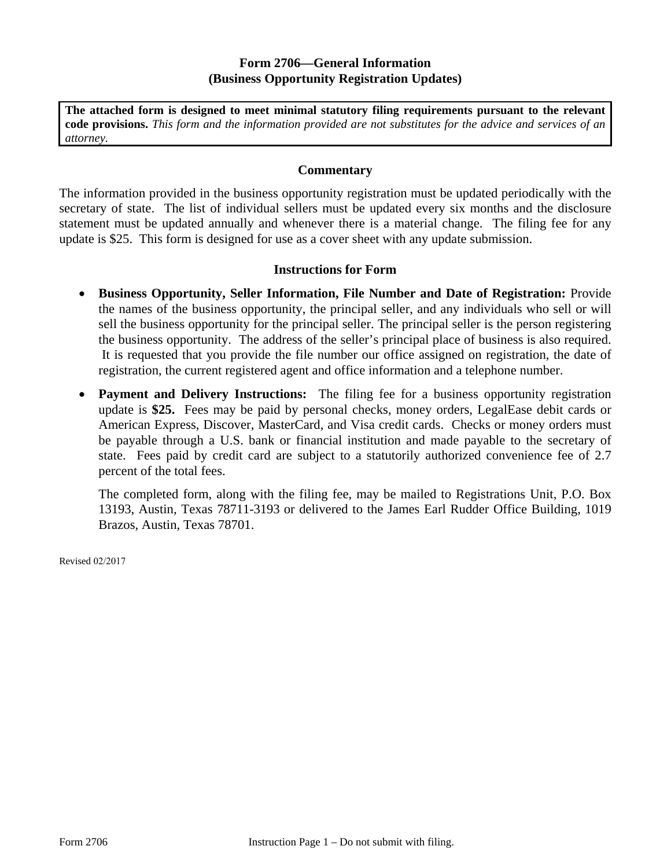## **Form 2706—General Information (Business Opportunity Registration Updates)**

**The attached form is designed to meet minimal statutory filing requirements pursuant to the relevant code provisions.** *This form and the information provided are not substitutes for the advice and services of an attorney.* 

## **Commentary**

The information provided in the business opportunity registration must be updated periodically with the secretary of state. The list of individual sellers must be updated every six months and the disclosure statement must be updated annually and whenever there is a material change. The filing fee for any update is \$25. This form is designed for use as a cover sheet with any update submission.

## **Instructions for Form**

- **Business Opportunity, Seller Information, File Number and Date of Registration:** Provide the names of the business opportunity, the principal seller, and any individuals who sell or will sell the business opportunity for the principal seller. The principal seller is the person registering the business opportunity. The address of the seller's principal place of business is also required. It is requested that you provide the file number our office assigned on registration, the date of registration, the current registered agent and office information and a telephone number.
- **Payment and Delivery Instructions:** The filing fee for a business opportunity registration update is **\$25.** Fees may be paid by personal checks, money orders, LegalEase debit cards or American Express, Discover, MasterCard, and Visa credit cards. Checks or money orders must be payable through a U.S. bank or financial institution and made payable to the secretary of state. Fees paid by credit card are subject to a statutorily authorized convenience fee of 2.7 percent of the total fees.

The completed form, along with the filing fee, may be mailed to Registrations Unit, P.O. Box 13193, Austin, Texas 78711-3193 or delivered to the James Earl Rudder Office Building, 1019 Brazos, Austin, Texas 78701.

Revised 02/2017